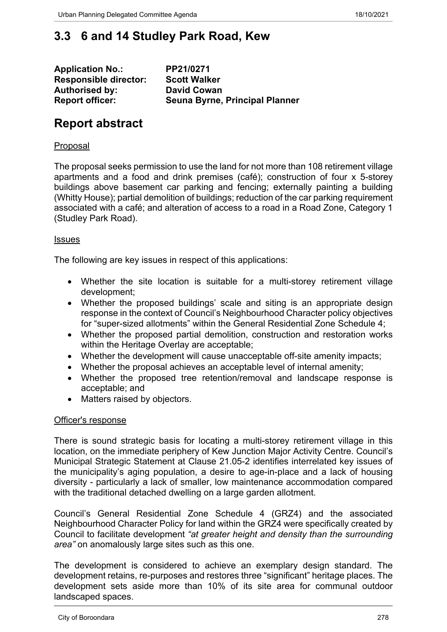# **3.3 6 and 14 Studley Park Road, Kew**

| <b>Application No.:</b>      | PP21/0271                      |
|------------------------------|--------------------------------|
| <b>Responsible director:</b> | <b>Scott Walker</b>            |
| <b>Authorised by:</b>        | <b>David Cowan</b>             |
| <b>Report officer:</b>       | Seuna Byrne, Principal Planner |

# **Report abstract**

#### Proposal

The proposal seeks permission to use the land for not more than 108 retirement village apartments and a food and drink premises (café); construction of four x 5-storey buildings above basement car parking and fencing; externally painting a building (Whitty House); partial demolition of buildings; reduction of the car parking requirement associated with a café; and alteration of access to a road in a Road Zone, Category 1 (Studley Park Road).

#### Issues

The following are key issues in respect of this applications:

- Whether the site location is suitable for a multi-storey retirement village development;
- Whether the proposed buildings' scale and siting is an appropriate design response in the context of Council's Neighbourhood Character policy objectives for "super-sized allotments" within the General Residential Zone Schedule 4;
- Whether the proposed partial demolition, construction and restoration works within the Heritage Overlay are acceptable;
- Whether the development will cause unacceptable off-site amenity impacts;
- Whether the proposal achieves an acceptable level of internal amenity;
- Whether the proposed tree retention/removal and landscape response is acceptable; and
- Matters raised by objectors.

#### Officer's response

There is sound strategic basis for locating a multi-storey retirement village in this location, on the immediate periphery of Kew Junction Major Activity Centre. Council's Municipal Strategic Statement at Clause 21.05-2 identifies interrelated key issues of the municipality's aging population, a desire to age-in-place and a lack of housing diversity - particularly a lack of smaller, low maintenance accommodation compared with the traditional detached dwelling on a large garden allotment.

Council's General Residential Zone Schedule 4 (GRZ4) and the associated Neighbourhood Character Policy for land within the GRZ4 were specifically created by Council to facilitate development *"at greater height and density than the surrounding area"* on anomalously large sites such as this one.

The development is considered to achieve an exemplary design standard. The development retains, re-purposes and restores three "significant" heritage places. The development sets aside more than 10% of its site area for communal outdoor landscaped spaces.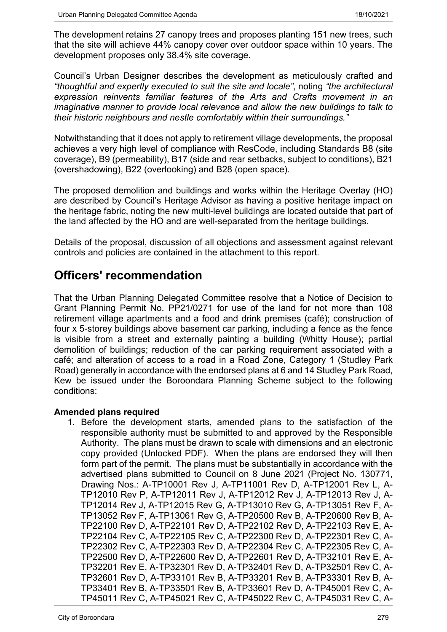The development retains 27 canopy trees and proposes planting 151 new trees, such that the site will achieve 44% canopy cover over outdoor space within 10 years. The development proposes only 38.4% site coverage.

Council's Urban Designer describes the development as meticulously crafted and *"thoughtful and expertly executed to suit the site and locale"*, noting *"the architectural expression reinvents familiar features of the Arts and Crafts movement in an imaginative manner to provide local relevance and allow the new buildings to talk to their historic neighbours and nestle comfortably within their surroundings."*

Notwithstanding that it does not apply to retirement village developments, the proposal achieves a very high level of compliance with ResCode, including Standards B8 (site coverage), B9 (permeability), B17 (side and rear setbacks, subject to conditions), B21 (overshadowing), B22 (overlooking) and B28 (open space).

The proposed demolition and buildings and works within the Heritage Overlay (HO) are described by Council's Heritage Advisor as having a positive heritage impact on the heritage fabric, noting the new multi-level buildings are located outside that part of the land affected by the HO and are well-separated from the heritage buildings.

Details of the proposal, discussion of all objections and assessment against relevant controls and policies are contained in the attachment to this report.

# **Officers' recommendation**

That the Urban Planning Delegated Committee resolve that a Notice of Decision to Grant Planning Permit No. PP21/0271 for use of the land for not more than 108 retirement village apartments and a food and drink premises (café); construction of four x 5-storey buildings above basement car parking, including a fence as the fence is visible from a street and externally painting a building (Whitty House); partial demolition of buildings; reduction of the car parking requirement associated with a café; and alteration of access to a road in a Road Zone, Category 1 (Studley Park Road) generally in accordance with the endorsed plans at 6 and 14 Studley Park Road, Kew be issued under the Boroondara Planning Scheme subject to the following conditions:

# **Amended plans required**

1. Before the development starts, amended plans to the satisfaction of the responsible authority must be submitted to and approved by the Responsible Authority. The plans must be drawn to scale with dimensions and an electronic copy provided (Unlocked PDF). When the plans are endorsed they will then form part of the permit. The plans must be substantially in accordance with the advertised plans submitted to Council on 8 June 2021 (Project No. 130771, Drawing Nos.: A-TP10001 Rev J, A-TP11001 Rev D, A-TP12001 Rev L, A-TP12010 Rev P, A-TP12011 Rev J, A-TP12012 Rev J, A-TP12013 Rev J, A-TP12014 Rev J, A-TP12015 Rev G, A-TP13010 Rev G, A-TP13051 Rev F, A-TP13052 Rev F, A-TP13061 Rev G, A-TP20500 Rev B, A-TP20600 Rev B, A-TP22100 Rev D, A-TP22101 Rev D, A-TP22102 Rev D, A-TP22103 Rev E, A-TP22104 Rev C, A-TP22105 Rev C, A-TP22300 Rev D, A-TP22301 Rev C, A-TP22302 Rev C, A-TP22303 Rev D, A-TP22304 Rev C, A-TP22305 Rev C, A-TP22500 Rev D, A-TP22600 Rev D, A-TP22601 Rev D, A-TP32101 Rev E, A-TP32201 Rev E, A-TP32301 Rev D, A-TP32401 Rev D, A-TP32501 Rev C, A-TP32601 Rev D, A-TP33101 Rev B, A-TP33201 Rev B, A-TP33301 Rev B, A-TP33401 Rev B, A-TP33501 Rev B, A-TP33601 Rev D, A-TP45001 Rev C, A-TP45011 Rev C, A-TP45021 Rev C, A-TP45022 Rev C, A-TP45031 Rev C, A-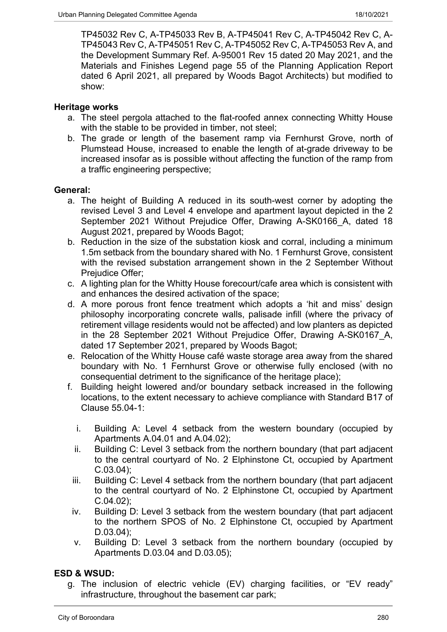TP45032 Rev C, A-TP45033 Rev B, A-TP45041 Rev C, A-TP45042 Rev C, A-TP45043 Rev C, A-TP45051 Rev C, A-TP45052 Rev C, A-TP45053 Rev A, and the Development Summary Ref. A-95001 Rev 15 dated 20 May 2021, and the Materials and Finishes Legend page 55 of the Planning Application Report dated 6 April 2021, all prepared by Woods Bagot Architects) but modified to show:

# **Heritage works**

- a. The steel pergola attached to the flat-roofed annex connecting Whitty House with the stable to be provided in timber, not steel:
- b. The grade or length of the basement ramp via Fernhurst Grove, north of Plumstead House, increased to enable the length of at-grade driveway to be increased insofar as is possible without affecting the function of the ramp from a traffic engineering perspective;

# **General:**

- a. The height of Building A reduced in its south-west corner by adopting the revised Level 3 and Level 4 envelope and apartment layout depicted in the 2 September 2021 Without Prejudice Offer, Drawing A-SK0166\_A, dated 18 August 2021, prepared by Woods Bagot;
- b. Reduction in the size of the substation kiosk and corral, including a minimum 1.5m setback from the boundary shared with No. 1 Fernhurst Grove, consistent with the revised substation arrangement shown in the 2 September Without Prejudice Offer;
- c. A lighting plan for the Whitty House forecourt/cafe area which is consistent with and enhances the desired activation of the space;
- d. A more porous front fence treatment which adopts a 'hit and miss' design philosophy incorporating concrete walls, palisade infill (where the privacy of retirement village residents would not be affected) and low planters as depicted in the 28 September 2021 Without Prejudice Offer, Drawing A-SK0167\_A, dated 17 September 2021, prepared by Woods Bagot;
- e. Relocation of the Whitty House café waste storage area away from the shared boundary with No. 1 Fernhurst Grove or otherwise fully enclosed (with no consequential detriment to the significance of the heritage place);
- f. Building height lowered and/or boundary setback increased in the following locations, to the extent necessary to achieve compliance with Standard B17 of Clause 55.04-1:
	- i. Building A: Level 4 setback from the western boundary (occupied by Apartments A.04.01 and A.04.02);
	- ii. Building C: Level 3 setback from the northern boundary (that part adjacent to the central courtyard of No. 2 Elphinstone Ct, occupied by Apartment  $C.03.04$ ;
	- iii. Building C: Level 4 setback from the northern boundary (that part adjacent to the central courtyard of No. 2 Elphinstone Ct, occupied by Apartment  $C.04.02$ :
	- iv. Building D: Level 3 setback from the western boundary (that part adjacent to the northern SPOS of No. 2 Elphinstone Ct, occupied by Apartment D.03.04);
	- v. Building D: Level 3 setback from the northern boundary (occupied by Apartments D.03.04 and D.03.05);

# **ESD & WSUD:**

g. The inclusion of electric vehicle (EV) charging facilities, or "EV ready" infrastructure, throughout the basement car park;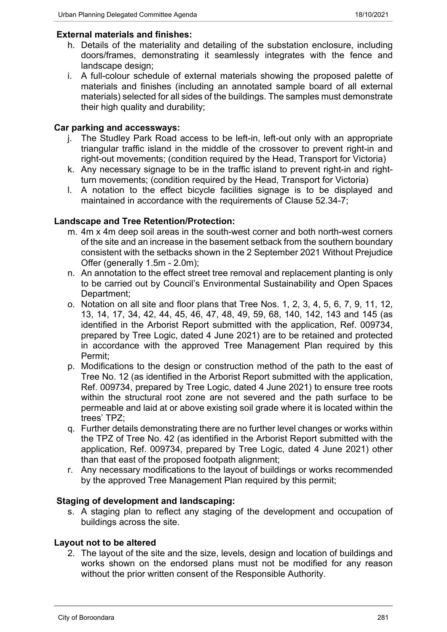# **External materials and finishes:**

- h. Details of the materiality and detailing of the substation enclosure, including doors/frames, demonstrating it seamlessly integrates with the fence and landscape design;
- i. A full-colour schedule of external materials showing the proposed palette of materials and finishes (including an annotated sample board of all external materials) selected for all sides of the buildings. The samples must demonstrate their high quality and durability;

# **Car parking and accessways:**

- j. The Studley Park Road access to be left-in, left-out only with an appropriate triangular traffic island in the middle of the crossover to prevent right-in and right-out movements; (condition required by the Head, Transport for Victoria)
- k. Any necessary signage to be in the traffic island to prevent right-in and rightturn movements; (condition required by the Head, Transport for Victoria)
- l. A notation to the effect bicycle facilities signage is to be displayed and maintained in accordance with the requirements of Clause 52.34-7;

# **Landscape and Tree Retention/Protection:**

- m. 4m x 4m deep soil areas in the south-west corner and both north-west corners of the site and an increase in the basement setback from the southern boundary consistent with the setbacks shown in the 2 September 2021 Without Prejudice Offer (generally 1.5m - 2.0m);
- n. An annotation to the effect street tree removal and replacement planting is only to be carried out by Council's Environmental Sustainability and Open Spaces Department;
- o. Notation on all site and floor plans that Tree Nos. 1, 2, 3, 4, 5, 6, 7, 9, 11, 12, 13, 14, 17, 34, 42, 44, 45, 46, 47, 48, 49, 59, 68, 140, 142, 143 and 145 (as identified in the Arborist Report submitted with the application, Ref. 009734, prepared by Tree Logic, dated 4 June 2021) are to be retained and protected in accordance with the approved Tree Management Plan required by this Permit;
- p. Modifications to the design or construction method of the path to the east of Tree No. 12 (as identified in the Arborist Report submitted with the application, Ref. 009734, prepared by Tree Logic, dated 4 June 2021) to ensure tree roots within the structural root zone are not severed and the path surface to be permeable and laid at or above existing soil grade where it is located within the trees' TPZ;
- q. Further details demonstrating there are no further level changes or works within the TPZ of Tree No. 42 (as identified in the Arborist Report submitted with the application, Ref. 009734, prepared by Tree Logic, dated 4 June 2021) other than that east of the proposed footpath alignment;
- r. Any necessary modifications to the layout of buildings or works recommended by the approved Tree Management Plan required by this permit;

# **Staging of development and landscaping:**

s. A staging plan to reflect any staging of the development and occupation of buildings across the site.

# **Layout not to be altered**

2. The layout of the site and the size, levels, design and location of buildings and works shown on the endorsed plans must not be modified for any reason without the prior written consent of the Responsible Authority.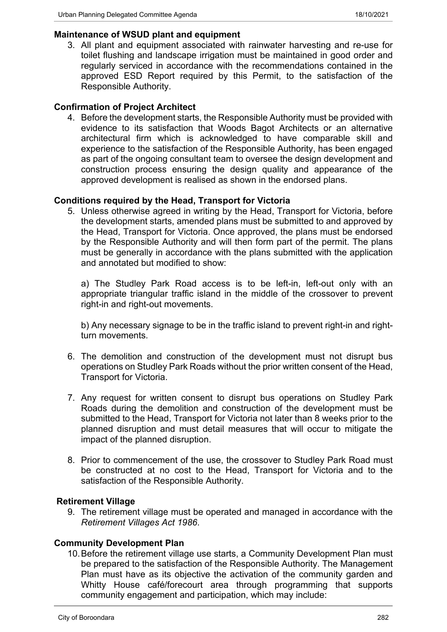#### **Maintenance of WSUD plant and equipment**

3. All plant and equipment associated with rainwater harvesting and re-use for toilet flushing and landscape irrigation must be maintained in good order and regularly serviced in accordance with the recommendations contained in the approved ESD Report required by this Permit, to the satisfaction of the Responsible Authority.

#### **Confirmation of Project Architect**

4. Before the development starts, the Responsible Authority must be provided with evidence to its satisfaction that Woods Bagot Architects or an alternative architectural firm which is acknowledged to have comparable skill and experience to the satisfaction of the Responsible Authority, has been engaged as part of the ongoing consultant team to oversee the design development and construction process ensuring the design quality and appearance of the approved development is realised as shown in the endorsed plans.

#### **Conditions required by the Head, Transport for Victoria**

5. Unless otherwise agreed in writing by the Head, Transport for Victoria, before the development starts, amended plans must be submitted to and approved by the Head, Transport for Victoria. Once approved, the plans must be endorsed by the Responsible Authority and will then form part of the permit. The plans must be generally in accordance with the plans submitted with the application and annotated but modified to show:

a) The Studley Park Road access is to be left-in, left-out only with an appropriate triangular traffic island in the middle of the crossover to prevent right-in and right-out movements.

b) Any necessary signage to be in the traffic island to prevent right-in and rightturn movements.

- 6. The demolition and construction of the development must not disrupt bus operations on Studley Park Roads without the prior written consent of the Head, Transport for Victoria.
- 7. Any request for written consent to disrupt bus operations on Studley Park Roads during the demolition and construction of the development must be submitted to the Head, Transport for Victoria not later than 8 weeks prior to the planned disruption and must detail measures that will occur to mitigate the impact of the planned disruption.
- 8. Prior to commencement of the use, the crossover to Studley Park Road must be constructed at no cost to the Head, Transport for Victoria and to the satisfaction of the Responsible Authority.

#### **Retirement Village**

9. The retirement village must be operated and managed in accordance with the *Retirement Villages Act 1986*.

#### **Community Development Plan**

10.Before the retirement village use starts, a Community Development Plan must be prepared to the satisfaction of the Responsible Authority. The Management Plan must have as its objective the activation of the community garden and Whitty House café/forecourt area through programming that supports community engagement and participation, which may include: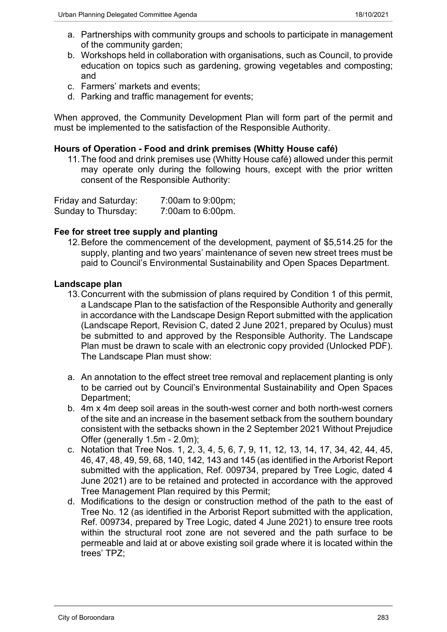- a. Partnerships with community groups and schools to participate in management of the community garden;
- b. Workshops held in collaboration with organisations, such as Council, to provide education on topics such as gardening, growing vegetables and composting; and
- c. Farmers' markets and events;
- d. Parking and traffic management for events;

When approved, the Community Development Plan will form part of the permit and must be implemented to the satisfaction of the Responsible Authority.

# **Hours of Operation - Food and drink premises (Whitty House café)**

11.The food and drink premises use (Whitty House café) allowed under this permit may operate only during the following hours, except with the prior written consent of the Responsible Authority:

| Friday and Saturday: | 7:00am to 9:00pm; |
|----------------------|-------------------|
| Sunday to Thursday:  | 7:00am to 6:00pm. |

# **Fee for street tree supply and planting**

12.Before the commencement of the development, payment of \$5,514.25 for the supply, planting and two years' maintenance of seven new street trees must be paid to Council's Environmental Sustainability and Open Spaces Department.

# **Landscape plan**

- 13.Concurrent with the submission of plans required by Condition 1 of this permit, a Landscape Plan to the satisfaction of the Responsible Authority and generally in accordance with the Landscape Design Report submitted with the application (Landscape Report, Revision C, dated 2 June 2021, prepared by Oculus) must be submitted to and approved by the Responsible Authority. The Landscape Plan must be drawn to scale with an electronic copy provided (Unlocked PDF). The Landscape Plan must show:
- a. An annotation to the effect street tree removal and replacement planting is only to be carried out by Council's Environmental Sustainability and Open Spaces Department;
- b. 4m x 4m deep soil areas in the south-west corner and both north-west corners of the site and an increase in the basement setback from the southern boundary consistent with the setbacks shown in the 2 September 2021 Without Prejudice Offer (generally 1.5m - 2.0m);
- c. Notation that Tree Nos. 1, 2, 3, 4, 5, 6, 7, 9, 11, 12, 13, 14, 17, 34, 42, 44, 45, 46, 47, 48, 49, 59, 68, 140, 142, 143 and 145 (as identified in the Arborist Report submitted with the application, Ref. 009734, prepared by Tree Logic, dated 4 June 2021) are to be retained and protected in accordance with the approved Tree Management Plan required by this Permit;
- d. Modifications to the design or construction method of the path to the east of Tree No. 12 (as identified in the Arborist Report submitted with the application, Ref. 009734, prepared by Tree Logic, dated 4 June 2021) to ensure tree roots within the structural root zone are not severed and the path surface to be permeable and laid at or above existing soil grade where it is located within the trees' TPZ;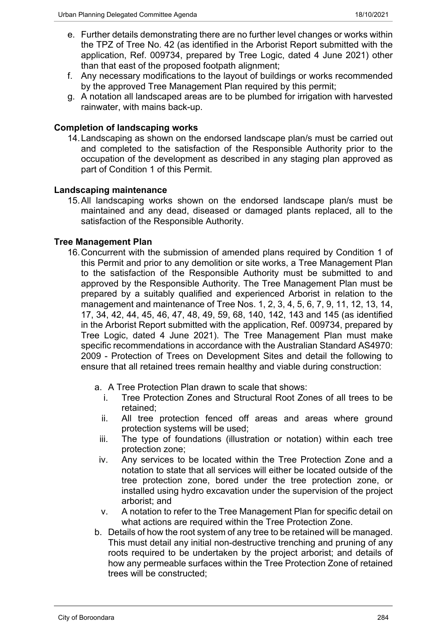- e. Further details demonstrating there are no further level changes or works within the TPZ of Tree No. 42 (as identified in the Arborist Report submitted with the application, Ref. 009734, prepared by Tree Logic, dated 4 June 2021) other than that east of the proposed footpath alignment;
- f. Any necessary modifications to the layout of buildings or works recommended by the approved Tree Management Plan required by this permit;
- g. A notation all landscaped areas are to be plumbed for irrigation with harvested rainwater, with mains back-up.

# **Completion of landscaping works**

14.Landscaping as shown on the endorsed landscape plan/s must be carried out and completed to the satisfaction of the Responsible Authority prior to the occupation of the development as described in any staging plan approved as part of Condition 1 of this Permit.

# **Landscaping maintenance**

15.All landscaping works shown on the endorsed landscape plan/s must be maintained and any dead, diseased or damaged plants replaced, all to the satisfaction of the Responsible Authority.

# **Tree Management Plan**

- 16.Concurrent with the submission of amended plans required by Condition 1 of this Permit and prior to any demolition or site works, a Tree Management Plan to the satisfaction of the Responsible Authority must be submitted to and approved by the Responsible Authority. The Tree Management Plan must be prepared by a suitably qualified and experienced Arborist in relation to the management and maintenance of Tree Nos. 1, 2, 3, 4, 5, 6, 7, 9, 11, 12, 13, 14, 17, 34, 42, 44, 45, 46, 47, 48, 49, 59, 68, 140, 142, 143 and 145 (as identified in the Arborist Report submitted with the application, Ref. 009734, prepared by Tree Logic, dated 4 June 2021). The Tree Management Plan must make specific recommendations in accordance with the Australian Standard AS4970: 2009 - Protection of Trees on Development Sites and detail the following to ensure that all retained trees remain healthy and viable during construction:
	- a. A Tree Protection Plan drawn to scale that shows:
		- i. Tree Protection Zones and Structural Root Zones of all trees to be retained;
		- ii. All tree protection fenced off areas and areas where ground protection systems will be used;
		- iii. The type of foundations (illustration or notation) within each tree protection zone;
		- iv. Any services to be located within the Tree Protection Zone and a notation to state that all services will either be located outside of the tree protection zone, bored under the tree protection zone, or installed using hydro excavation under the supervision of the project arborist; and
		- v. A notation to refer to the Tree Management Plan for specific detail on what actions are required within the Tree Protection Zone.
	- b. Details of how the root system of any tree to be retained will be managed. This must detail any initial non-destructive trenching and pruning of any roots required to be undertaken by the project arborist; and details of how any permeable surfaces within the Tree Protection Zone of retained trees will be constructed;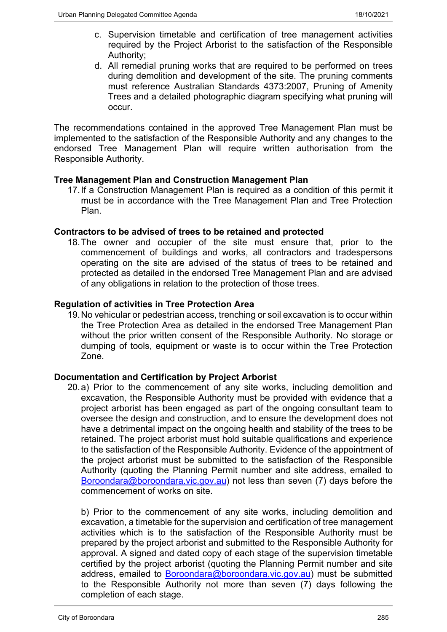- c. Supervision timetable and certification of tree management activities required by the Project Arborist to the satisfaction of the Responsible Authority;
- d. All remedial pruning works that are required to be performed on trees during demolition and development of the site. The pruning comments must reference Australian Standards 4373:2007, Pruning of Amenity Trees and a detailed photographic diagram specifying what pruning will occur.

The recommendations contained in the approved Tree Management Plan must be implemented to the satisfaction of the Responsible Authority and any changes to the endorsed Tree Management Plan will require written authorisation from the Responsible Authority.

# **Tree Management Plan and Construction Management Plan**

17.If a Construction Management Plan is required as a condition of this permit it must be in accordance with the Tree Management Plan and Tree Protection Plan.

# **Contractors to be advised of trees to be retained and protected**

18.The owner and occupier of the site must ensure that, prior to the commencement of buildings and works, all contractors and tradespersons operating on the site are advised of the status of trees to be retained and protected as detailed in the endorsed Tree Management Plan and are advised of any obligations in relation to the protection of those trees.

# **Regulation of activities in Tree Protection Area**

19.No vehicular or pedestrian access, trenching or soil excavation is to occur within the Tree Protection Area as detailed in the endorsed Tree Management Plan without the prior written consent of the Responsible Authority*.* No storage or dumping of tools, equipment or waste is to occur within the Tree Protection Zone.

# **Documentation and Certification by Project Arborist**

20.a) Prior to the commencement of any site works, including demolition and excavation, the Responsible Authority must be provided with evidence that a project arborist has been engaged as part of the ongoing consultant team to oversee the design and construction, and to ensure the development does not have a detrimental impact on the ongoing health and stability of the trees to be retained. The project arborist must hold suitable qualifications and experience to the satisfaction of the Responsible Authority. Evidence of the appointment of the project arborist must be submitted to the satisfaction of the Responsible Authority (quoting the Planning Permit number and site address, emailed to [Boroondara@boroondara.vic.gov.au\)](mailto:Boroondara@boroondara.vic.gov.au) not less than seven (7) days before the commencement of works on site.

b) Prior to the commencement of any site works, including demolition and excavation, a timetable for the supervision and certification of tree management activities which is to the satisfaction of the Responsible Authority must be prepared by the project arborist and submitted to the Responsible Authority for approval. A signed and dated copy of each stage of the supervision timetable certified by the project arborist (quoting the Planning Permit number and site address, emailed to [Boroondara@boroondara.vic.gov.au\)](mailto:Boroondara@boroondara.vic.gov.au) must be submitted to the Responsible Authority not more than seven (7) days following the completion of each stage.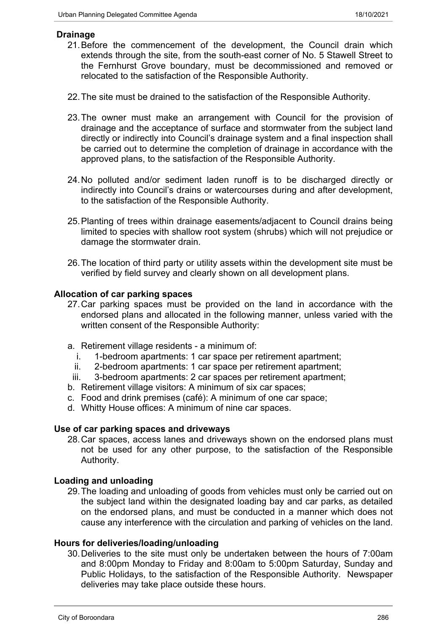# **Drainage**

- 21.Before the commencement of the development, the Council drain which extends through the site, from the south-east corner of No. 5 Stawell Street to the Fernhurst Grove boundary, must be decommissioned and removed or relocated to the satisfaction of the Responsible Authority.
- 22.The site must be drained to the satisfaction of the Responsible Authority.
- 23.The owner must make an arrangement with Council for the provision of drainage and the acceptance of surface and stormwater from the subject land directly or indirectly into Council's drainage system and a final inspection shall be carried out to determine the completion of drainage in accordance with the approved plans, to the satisfaction of the Responsible Authority.
- 24.No polluted and/or sediment laden runoff is to be discharged directly or indirectly into Council's drains or watercourses during and after development, to the satisfaction of the Responsible Authority.
- 25.Planting of trees within drainage easements/adjacent to Council drains being limited to species with shallow root system (shrubs) which will not prejudice or damage the stormwater drain.
- 26.The location of third party or utility assets within the development site must be verified by field survey and clearly shown on all development plans.

#### **Allocation of car parking spaces**

- 27.Car parking spaces must be provided on the land in accordance with the endorsed plans and allocated in the following manner, unless varied with the written consent of the Responsible Authority:
- a. Retirement village residents a minimum of:
	- i. 1-bedroom apartments: 1 car space per retirement apartment;
	- ii. 2-bedroom apartments: 1 car space per retirement apartment;
- iii. 3-bedroom apartments: 2 car spaces per retirement apartment:
- b. Retirement village visitors: A minimum of six car spaces;
- c. Food and drink premises (café): A minimum of one car space;
- d. Whitty House offices: A minimum of nine car spaces.

#### **Use of car parking spaces and driveways**

28.Car spaces, access lanes and driveways shown on the endorsed plans must not be used for any other purpose, to the satisfaction of the Responsible Authority.

# **Loading and unloading**

29.The loading and unloading of goods from vehicles must only be carried out on the subject land within the designated loading bay and car parks, as detailed on the endorsed plans, and must be conducted in a manner which does not cause any interference with the circulation and parking of vehicles on the land.

#### **Hours for deliveries/loading/unloading**

30.Deliveries to the site must only be undertaken between the hours of 7:00am and 8:00pm Monday to Friday and 8:00am to 5:00pm Saturday, Sunday and Public Holidays, to the satisfaction of the Responsible Authority. Newspaper deliveries may take place outside these hours.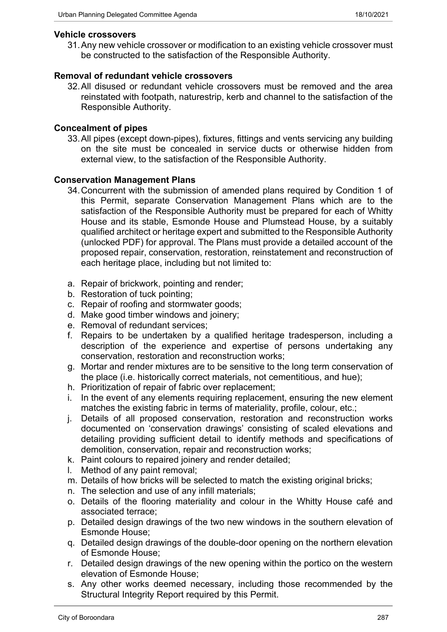#### **Vehicle crossovers**

31.Any new vehicle crossover or modification to an existing vehicle crossover must be constructed to the satisfaction of the Responsible Authority.

# **Removal of redundant vehicle crossovers**

32.All disused or redundant vehicle crossovers must be removed and the area reinstated with footpath, naturestrip, kerb and channel to the satisfaction of the Responsible Authority.

# **Concealment of pipes**

33.All pipes (except down-pipes), fixtures, fittings and vents servicing any building on the site must be concealed in service ducts or otherwise hidden from external view, to the satisfaction of the Responsible Authority.

#### **Conservation Management Plans**

- 34.Concurrent with the submission of amended plans required by Condition 1 of this Permit, separate Conservation Management Plans which are to the satisfaction of the Responsible Authority must be prepared for each of Whitty House and its stable, Esmonde House and Plumstead House, by a suitably qualified architect or heritage expert and submitted to the Responsible Authority (unlocked PDF) for approval. The Plans must provide a detailed account of the proposed repair, conservation, restoration, reinstatement and reconstruction of each heritage place, including but not limited to:
- a. Repair of brickwork, pointing and render;
- b. Restoration of tuck pointing;
- c. Repair of roofing and stormwater goods;
- d. Make good timber windows and joinery;
- e. Removal of redundant services;
- f. Repairs to be undertaken by a qualified heritage tradesperson, including a description of the experience and expertise of persons undertaking any conservation, restoration and reconstruction works;
- g. Mortar and render mixtures are to be sensitive to the long term conservation of the place (i.e. historically correct materials, not cementitious, and hue);
- h. Prioritization of repair of fabric over replacement;
- i. In the event of any elements requiring replacement, ensuring the new element matches the existing fabric in terms of materiality, profile, colour, etc.;
- j. Details of all proposed conservation, restoration and reconstruction works documented on 'conservation drawings' consisting of scaled elevations and detailing providing sufficient detail to identify methods and specifications of demolition, conservation, repair and reconstruction works;
- k. Paint colours to repaired joinery and render detailed;
- l. Method of any paint removal;
- m. Details of how bricks will be selected to match the existing original bricks;
- n. The selection and use of any infill materials;
- o. Details of the flooring materiality and colour in the Whitty House café and associated terrace;
- p. Detailed design drawings of the two new windows in the southern elevation of Esmonde House;
- q. Detailed design drawings of the double-door opening on the northern elevation of Esmonde House;
- r. Detailed design drawings of the new opening within the portico on the western elevation of Esmonde House;
- s. Any other works deemed necessary, including those recommended by the Structural Integrity Report required by this Permit.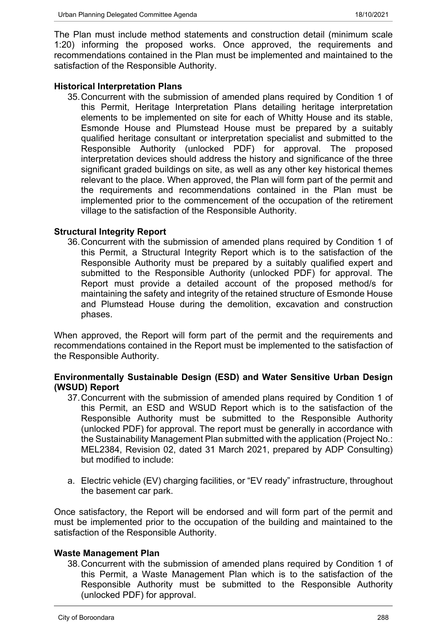The Plan must include method statements and construction detail (minimum scale 1:20) informing the proposed works. Once approved, the requirements and recommendations contained in the Plan must be implemented and maintained to the satisfaction of the Responsible Authority.

# **Historical Interpretation Plans**

35.Concurrent with the submission of amended plans required by Condition 1 of this Permit, Heritage Interpretation Plans detailing heritage interpretation elements to be implemented on site for each of Whitty House and its stable, Esmonde House and Plumstead House must be prepared by a suitably qualified heritage consultant or interpretation specialist and submitted to the Responsible Authority (unlocked PDF) for approval. The proposed interpretation devices should address the history and significance of the three significant graded buildings on site, as well as any other key historical themes relevant to the place. When approved, the Plan will form part of the permit and the requirements and recommendations contained in the Plan must be implemented prior to the commencement of the occupation of the retirement village to the satisfaction of the Responsible Authority.

# **Structural Integrity Report**

36.Concurrent with the submission of amended plans required by Condition 1 of this Permit, a Structural Integrity Report which is to the satisfaction of the Responsible Authority must be prepared by a suitably qualified expert and submitted to the Responsible Authority (unlocked PDF) for approval. The Report must provide a detailed account of the proposed method/s for maintaining the safety and integrity of the retained structure of Esmonde House and Plumstead House during the demolition, excavation and construction phases.

When approved, the Report will form part of the permit and the requirements and recommendations contained in the Report must be implemented to the satisfaction of the Responsible Authority.

# **Environmentally Sustainable Design (ESD) and Water Sensitive Urban Design (WSUD) Report**

- 37.Concurrent with the submission of amended plans required by Condition 1 of this Permit, an ESD and WSUD Report which is to the satisfaction of the Responsible Authority must be submitted to the Responsible Authority (unlocked PDF) for approval. The report must be generally in accordance with the Sustainability Management Plan submitted with the application (Project No.: MEL2384, Revision 02, dated 31 March 2021, prepared by ADP Consulting) but modified to include:
- a. Electric vehicle (EV) charging facilities, or "EV ready" infrastructure, throughout the basement car park.

Once satisfactory, the Report will be endorsed and will form part of the permit and must be implemented prior to the occupation of the building and maintained to the satisfaction of the Responsible Authority.

# **Waste Management Plan**

38.Concurrent with the submission of amended plans required by Condition 1 of this Permit, a Waste Management Plan which is to the satisfaction of the Responsible Authority must be submitted to the Responsible Authority (unlocked PDF) for approval.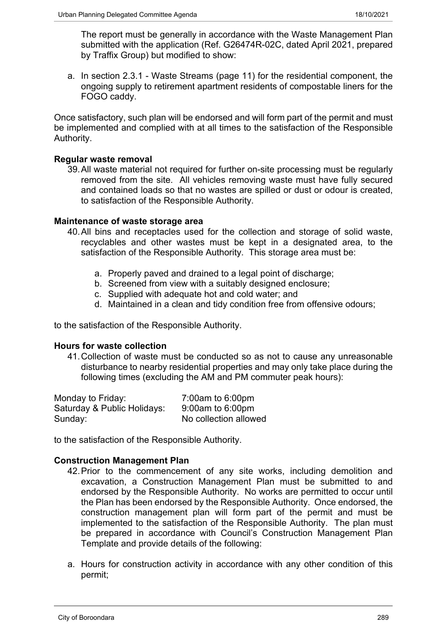The report must be generally in accordance with the Waste Management Plan submitted with the application (Ref. G26474R-02C, dated April 2021, prepared by Traffix Group) but modified to show:

a. In section 2.3.1 - Waste Streams (page 11) for the residential component, the ongoing supply to retirement apartment residents of compostable liners for the FOGO caddy.

Once satisfactory, such plan will be endorsed and will form part of the permit and must be implemented and complied with at all times to the satisfaction of the Responsible Authority.

#### **Regular waste removal**

39.All waste material not required for further on-site processing must be regularly removed from the site. All vehicles removing waste must have fully secured and contained loads so that no wastes are spilled or dust or odour is created, to satisfaction of the Responsible Authority.

#### **Maintenance of waste storage area**

- 40.All bins and receptacles used for the collection and storage of solid waste, recyclables and other wastes must be kept in a designated area, to the satisfaction of the Responsible Authority. This storage area must be:
	- a. Properly paved and drained to a legal point of discharge;
	- b. Screened from view with a suitably designed enclosure;
	- c. Supplied with adequate hot and cold water; and
	- d. Maintained in a clean and tidy condition free from offensive odours;

to the satisfaction of the Responsible Authority.

#### **Hours for waste collection**

41.Collection of waste must be conducted so as not to cause any unreasonable disturbance to nearby residential properties and may only take place during the following times (excluding the AM and PM commuter peak hours):

| Monday to Friday:           | 7:00am to 6:00pm      |
|-----------------------------|-----------------------|
| Saturday & Public Holidays: | $9:00$ am to 6:00pm   |
| Sunday:                     | No collection allowed |

to the satisfaction of the Responsible Authority.

#### **Construction Management Plan**

- 42.Prior to the commencement of any site works, including demolition and excavation, a Construction Management Plan must be submitted to and endorsed by the Responsible Authority. No works are permitted to occur until the Plan has been endorsed by the Responsible Authority. Once endorsed, the construction management plan will form part of the permit and must be implemented to the satisfaction of the Responsible Authority. The plan must be prepared in accordance with Council's Construction Management Plan Template and provide details of the following:
- a. Hours for construction activity in accordance with any other condition of this permit;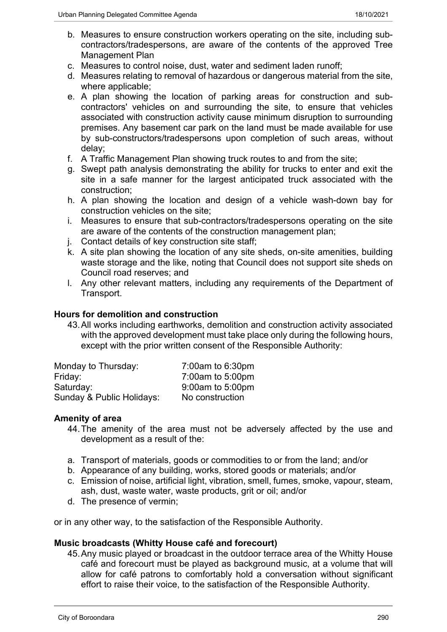- b. Measures to ensure construction workers operating on the site, including subcontractors/tradespersons, are aware of the contents of the approved Tree Management Plan
- c. Measures to control noise, dust, water and sediment laden runoff;
- d. Measures relating to removal of hazardous or dangerous material from the site, where applicable;
- e. A plan showing the location of parking areas for construction and subcontractors' vehicles on and surrounding the site, to ensure that vehicles associated with construction activity cause minimum disruption to surrounding premises. Any basement car park on the land must be made available for use by sub-constructors/tradespersons upon completion of such areas, without delay;
- f. A Traffic Management Plan showing truck routes to and from the site;
- g. Swept path analysis demonstrating the ability for trucks to enter and exit the site in a safe manner for the largest anticipated truck associated with the construction;
- h. A plan showing the location and design of a vehicle wash-down bay for construction vehicles on the site;
- i. Measures to ensure that sub-contractors/tradespersons operating on the site are aware of the contents of the construction management plan;
- j. Contact details of key construction site staff;
- k. A site plan showing the location of any site sheds, on-site amenities, building waste storage and the like, noting that Council does not support site sheds on Council road reserves; and
- l. Any other relevant matters, including any requirements of the Department of Transport.

#### **Hours for demolition and construction**

43.All works including earthworks, demolition and construction activity associated with the approved development must take place only during the following hours, except with the prior written consent of the Responsible Authority:

| Monday to Thursday:       | $7:00$ am to 6:30pm |
|---------------------------|---------------------|
| Friday:                   | 7:00am to 5:00pm    |
| Saturday:                 | 9:00am to 5:00pm    |
| Sunday & Public Holidays: | No construction     |

# **Amenity of area**

- 44.The amenity of the area must not be adversely affected by the use and development as a result of the:
- a. Transport of materials, goods or commodities to or from the land; and/or
- b. Appearance of any building, works, stored goods or materials; and/or
- c. Emission of noise, artificial light, vibration, smell, fumes, smoke, vapour, steam, ash, dust, waste water, waste products, grit or oil; and/or
- d. The presence of vermin;

or in any other way, to the satisfaction of the Responsible Authority.

#### **Music broadcasts (Whitty House café and forecourt)**

45.Any music played or broadcast in the outdoor terrace area of the Whitty House café and forecourt must be played as background music, at a volume that will allow for café patrons to comfortably hold a conversation without significant effort to raise their voice, to the satisfaction of the Responsible Authority.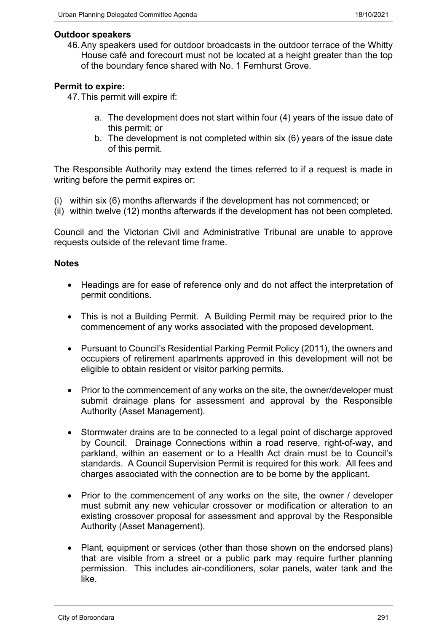#### **Outdoor speakers**

46.Any speakers used for outdoor broadcasts in the outdoor terrace of the Whitty House café and forecourt must not be located at a height greater than the top of the boundary fence shared with No. 1 Fernhurst Grove.

# **Permit to expire:**

47.This permit will expire if:

- a. The development does not start within four (4) years of the issue date of this permit; or
- b. The development is not completed within six (6) years of the issue date of this permit.

The Responsible Authority may extend the times referred to if a request is made in writing before the permit expires or:

- (i) within six (6) months afterwards if the development has not commenced; or
- (ii) within twelve (12) months afterwards if the development has not been completed.

Council and the Victorian Civil and Administrative Tribunal are unable to approve requests outside of the relevant time frame.

#### **Notes**

- Headings are for ease of reference only and do not affect the interpretation of permit conditions.
- This is not a Building Permit. A Building Permit may be required prior to the commencement of any works associated with the proposed development.
- Pursuant to Council's Residential Parking Permit Policy (2011), the owners and occupiers of retirement apartments approved in this development will not be eligible to obtain resident or visitor parking permits.
- Prior to the commencement of any works on the site, the owner/developer must submit drainage plans for assessment and approval by the Responsible Authority (Asset Management).
- Stormwater drains are to be connected to a legal point of discharge approved by Council. Drainage Connections within a road reserve, right-of-way, and parkland, within an easement or to a Health Act drain must be to Council's standards. A Council Supervision Permit is required for this work. All fees and charges associated with the connection are to be borne by the applicant.
- Prior to the commencement of any works on the site, the owner / developer must submit any new vehicular crossover or modification or alteration to an existing crossover proposal for assessment and approval by the Responsible Authority (Asset Management).
- Plant, equipment or services (other than those shown on the endorsed plans) that are visible from a street or a public park may require further planning permission. This includes air-conditioners, solar panels, water tank and the like.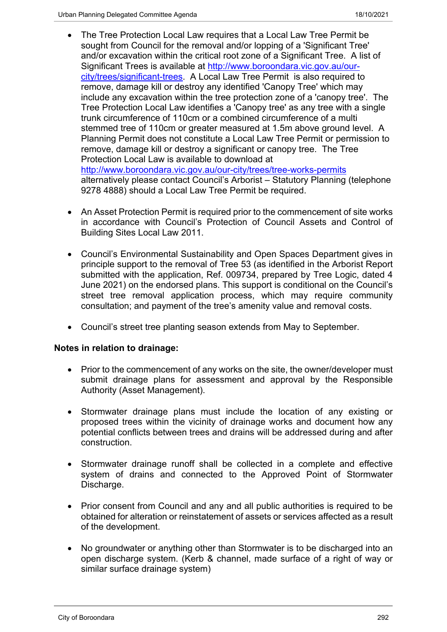- The Tree Protection Local Law requires that a Local Law Tree Permit be sought from Council for the removal and/or lopping of a 'Significant Tree' and/or excavation within the critical root zone of a Significant Tree. A list of Significant Trees is available at [http://www.boroondara.vic.gov.au/our](http://www.boroondara.vic.gov.au/our-city/trees/significant-trees)[city/trees/significant-trees](http://www.boroondara.vic.gov.au/our-city/trees/significant-trees). A Local Law Tree Permit is also required to remove, damage kill or destroy any identified 'Canopy Tree' which may include any excavation within the tree protection zone of a 'canopy tree'. The Tree Protection Local Law identifies a 'Canopy tree' as any tree with a single trunk circumference of 110cm or a combined circumference of a multi stemmed tree of 110cm or greater measured at 1.5m above ground level. A Planning Permit does not constitute a Local Law Tree Permit or permission to remove, damage kill or destroy a significant or canopy tree. The Tree Protection Local Law is available to download at <http://www.boroondara.vic.gov.au/our-city/trees/tree-works-permits> alternatively please contact Council's Arborist – Statutory Planning (telephone 9278 4888) should a Local Law Tree Permit be required.
- An Asset Protection Permit is required prior to the commencement of site works in accordance with Council's Protection of Council Assets and Control of Building Sites Local Law 2011.
- Council's Environmental Sustainability and Open Spaces Department gives in principle support to the removal of Tree 53 (as identified in the Arborist Report submitted with the application, Ref. 009734, prepared by Tree Logic, dated 4 June 2021) on the endorsed plans. This support is conditional on the Council's street tree removal application process, which may require community consultation; and payment of the tree's amenity value and removal costs.
- Council's street tree planting season extends from May to September.

# **Notes in relation to drainage:**

- Prior to the commencement of any works on the site, the owner/developer must submit drainage plans for assessment and approval by the Responsible Authority (Asset Management).
- Stormwater drainage plans must include the location of any existing or proposed trees within the vicinity of drainage works and document how any potential conflicts between trees and drains will be addressed during and after construction.
- Stormwater drainage runoff shall be collected in a complete and effective system of drains and connected to the Approved Point of Stormwater Discharge.
- Prior consent from Council and any and all public authorities is required to be obtained for alteration or reinstatement of assets or services affected as a result of the development.
- No groundwater or anything other than Stormwater is to be discharged into an open discharge system. (Kerb & channel, made surface of a right of way or similar surface drainage system)